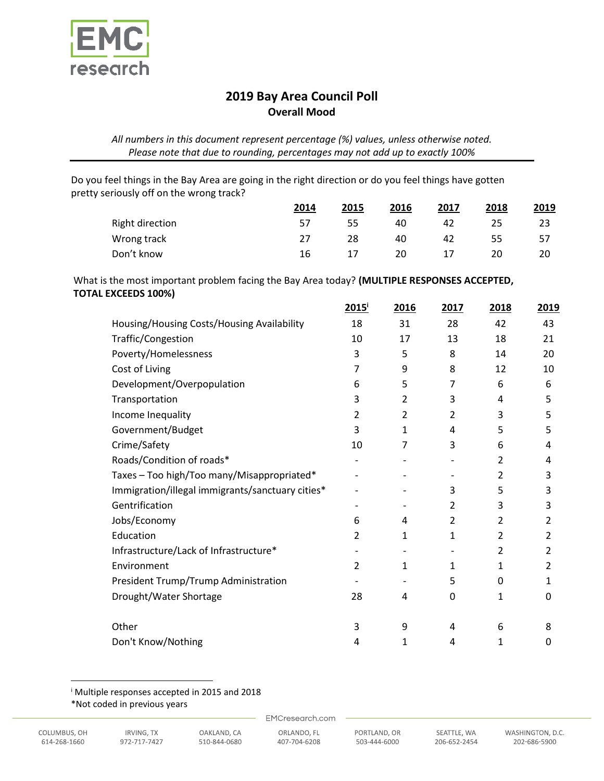

## **2019 Bay Area Council Poll Overall Mood**

*All numbers in this document represent percentage (%) values, unless otherwise noted. Please note that due to rounding, percentages may not add up to exactly 100%*

Do you feel things in the Bay Area are going in the right direction or do you feel things have gotten pretty seriously off on the wrong track?

|                        | 2014 | 2015 | 2016 | 2017 | 2018 | 2019 |
|------------------------|------|------|------|------|------|------|
| <b>Right direction</b> | 57   | 55   | 40   | 42   | 25   | 23   |
| Wrong track            | 27   | 28   | 40   | 42   | 55   | 57   |
| Don't know             | 16   |      | 20   |      | 20   | 20   |

What is the most important problem facing the Bay Area today? **(MULTIPLE RESPONSES ACCEPTED, TOTAL EXCEEDS 100%)**

|                                                  | $2015^{\mathrm{i}}$      | 2016                     | 2017           | 2018           | 2019 |
|--------------------------------------------------|--------------------------|--------------------------|----------------|----------------|------|
| Housing/Housing Costs/Housing Availability       | 18                       | 31                       | 28             | 42             | 43   |
| Traffic/Congestion                               | 10                       | 17                       | 13             | 18             | 21   |
| Poverty/Homelessness                             | 3                        | 5                        | 8              | 14             | 20   |
| Cost of Living                                   | 7                        | 9                        | 8              | 12             | 10   |
| Development/Overpopulation                       | 6                        | 5                        | 7              | 6              | 6    |
| Transportation                                   | 3                        | 2                        | 3              | 4              | 5    |
| Income Inequality                                | 2                        | $\overline{2}$           | 2              | 3              | 5    |
| Government/Budget                                | 3                        | $\mathbf{1}$             | 4              | 5              | 5    |
| Crime/Safety                                     | 10                       | $\overline{7}$           | 3              | 6              | 4    |
| Roads/Condition of roads*                        |                          |                          |                | 2              | 4    |
| Taxes - Too high/Too many/Misappropriated*       |                          |                          |                | 2              | 3    |
| Immigration/illegal immigrants/sanctuary cities* |                          |                          | 3              | 5              | 3    |
| Gentrification                                   |                          |                          | 2              | 3              | 3    |
| Jobs/Economy                                     | 6                        | 4                        | $\overline{2}$ | $\overline{2}$ | 2    |
| Education                                        | $\overline{2}$           | 1                        | 1              | 2              | 2    |
| Infrastructure/Lack of Infrastructure*           |                          |                          |                | 2              | 2    |
| Environment                                      | $\overline{2}$           | 1                        | 1              | $\mathbf{1}$   | 2    |
| President Trump/Trump Administration             | $\overline{\phantom{a}}$ | $\overline{\phantom{a}}$ | 5              | 0              | 1    |
| Drought/Water Shortage                           | 28                       | 4                        | 0              | 1              | 0    |
| Other                                            |                          |                          |                |                | 8    |
|                                                  | 3                        | 9                        | 4              | 6              |      |
| Don't Know/Nothing                               | 4                        | 1                        | 4              | 1              | 0    |

<sup>i</sup> Multiple responses accepted in 2015 and 2018

 $\overline{\phantom{a}}$ 

EMCresearch.com

<sup>\*</sup>Not coded in previous years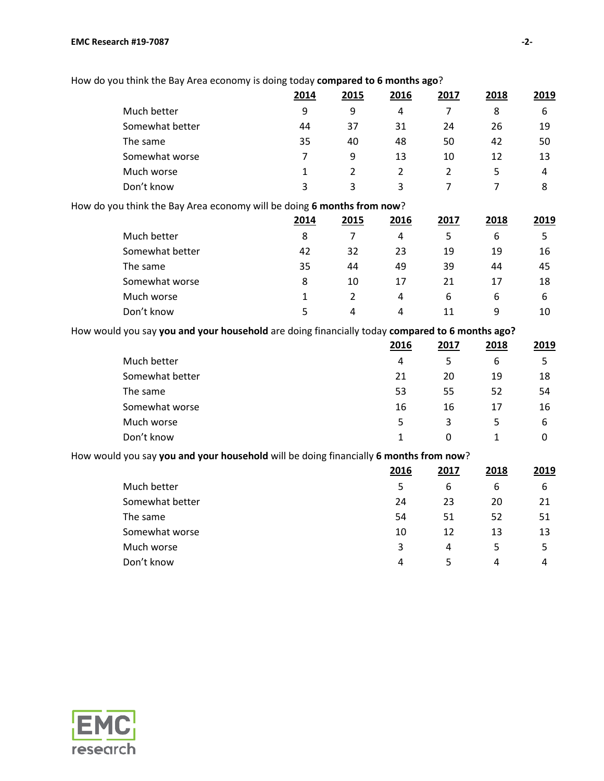#### **EMC Research #19-7087 -2-**

| How do you think the Bay Area economy is doing today compared to 6 months ago? |  |
|--------------------------------------------------------------------------------|--|
|--------------------------------------------------------------------------------|--|

|                                                                        | 2014 | 2015           | 2016 | 2017 | 2018 | 2019 |
|------------------------------------------------------------------------|------|----------------|------|------|------|------|
| Much better                                                            | 9    | 9              | 4    | 7    | 8    | 6    |
| Somewhat better                                                        | 44   | 37             | 31   | 24   | 26   | 19   |
| The same                                                               | 35   | 40             | 48   | 50   | 42   | 50   |
| Somewhat worse                                                         | 7    | 9              | 13   | 10   | 12   | 13   |
| Much worse                                                             | 1    | $\overline{2}$ | 2    | 2    | 5    | 4    |
| Don't know                                                             | 3    | 3              | 3    | 7    | 7    | 8    |
| How do you think the Bay Area economy will be doing 6 months from now? |      |                |      |      |      |      |
|                                                                        | 2014 | 2015           | 2016 | 2017 | 2018 | 2019 |
| Much better                                                            | 8    |                | 4    | 5    | 6    | 5    |
| Somewhat better                                                        | 42   | 32             | 23   | 19   | 19   | 16   |
| The same                                                               | 35   | 44             | 49   | 39   | 44   | 45   |
| Somewhat worse                                                         | 8    | 10             | 17   | 21   | 17   | 18   |
| Much worse                                                             |      | 2              | 4    | 6    | 6    | 6    |

How would you say **you and your household** are doing financially today **compared to 6 months ago?**

|                 | 2016 | 2017 | 2018 | 2019 |
|-----------------|------|------|------|------|
| Much better     | 4    | 5    | 6    | 5    |
| Somewhat better | 21   | 20   | 19   | 18   |
| The same        | 53   | 55   | 52   | 54   |
| Somewhat worse  | 16   | 16   | 17   | 16   |
| Much worse      | 5    | 3    | 5    | 6    |
| Don't know      |      | 0    |      |      |

Don't know 5 5 4 4 11 9 10

### How would you say **you and your household** will be doing financially **6 months from now**?

|                 | 2016 | 2017 | 2018 | 2019 |
|-----------------|------|------|------|------|
| Much better     | 5    | 6    | 6    | b    |
| Somewhat better | 24   | 23   | 20   | 21   |
| The same        | 54   | 51   | 52   | 51   |
| Somewhat worse  | 10   | 12   | 13   | 13   |
| Much worse      | 3    | 4    | 5    | 5    |
| Don't know      | 4    | 5    | 4    | 4    |

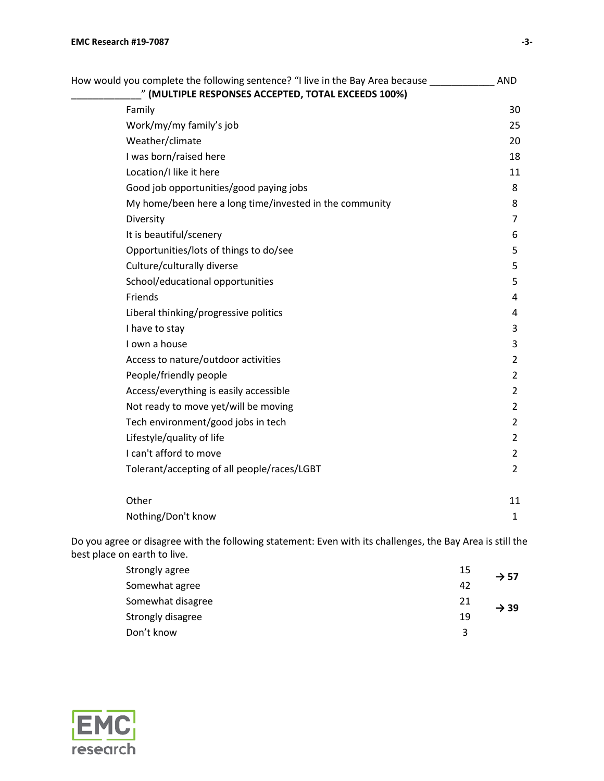| How would you complete the following sentence? "I live in the Bay Area because | <b>AND</b>     |
|--------------------------------------------------------------------------------|----------------|
| " (MULTIPLE RESPONSES ACCEPTED, TOTAL EXCEEDS 100%)                            |                |
| Family                                                                         | 30             |
| Work/my/my family's job                                                        | 25             |
| Weather/climate                                                                | 20             |
| I was born/raised here                                                         | 18             |
| Location/I like it here                                                        | 11             |
| Good job opportunities/good paying jobs                                        | 8              |
| My home/been here a long time/invested in the community                        | 8              |
| Diversity                                                                      | $\overline{7}$ |
| It is beautiful/scenery                                                        | 6              |
| Opportunities/lots of things to do/see                                         | 5              |
| Culture/culturally diverse                                                     | 5              |
| School/educational opportunities                                               | 5              |
| Friends                                                                        | 4              |
| Liberal thinking/progressive politics                                          | 4              |
| I have to stay                                                                 | 3              |
| I own a house                                                                  | 3              |
| Access to nature/outdoor activities                                            | $\overline{2}$ |
| People/friendly people                                                         | $\overline{2}$ |
| Access/everything is easily accessible                                         | $\overline{2}$ |
| Not ready to move yet/will be moving                                           | $\overline{2}$ |
| Tech environment/good jobs in tech                                             | $\overline{2}$ |
| Lifestyle/quality of life                                                      | $\overline{2}$ |
| I can't afford to move                                                         | $\overline{2}$ |
| Tolerant/accepting of all people/races/LGBT                                    | $\overline{2}$ |
| Other                                                                          | 11             |
| Nothing/Don't know                                                             | $\mathbf{1}$   |

Do you agree or disagree with the following statement: Even with its challenges, the Bay Area is still the best place on earth to live.

| Strongly agree    | 15 | $\rightarrow$ 57 |  |
|-------------------|----|------------------|--|
| Somewhat agree    | 42 |                  |  |
| Somewhat disagree | 21 | $\rightarrow$ 39 |  |
| Strongly disagree | 19 |                  |  |
| Don't know        | ર  |                  |  |

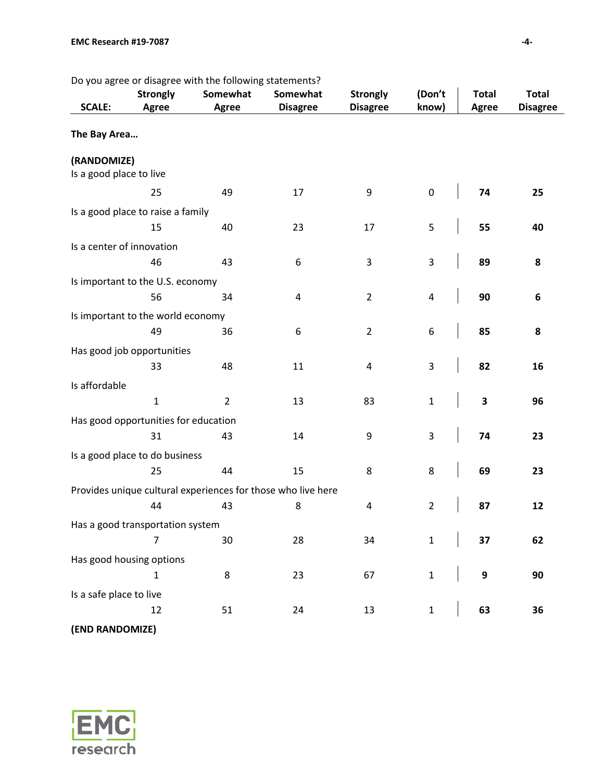Do you agree or disagree with the following statements?

| <b>SCALE:</b>             | <b>Strongly</b><br><b>Agree</b>      | Somewhat<br>Agree | Somewhat<br><b>Disagree</b>                                  | <b>Strongly</b><br><b>Disagree</b> | (Don't<br>know) | <b>Total</b><br><b>Agree</b> | <b>Total</b><br><b>Disagree</b> |
|---------------------------|--------------------------------------|-------------------|--------------------------------------------------------------|------------------------------------|-----------------|------------------------------|---------------------------------|
| The Bay Area              |                                      |                   |                                                              |                                    |                 |                              |                                 |
| (RANDOMIZE)               |                                      |                   |                                                              |                                    |                 |                              |                                 |
| Is a good place to live   |                                      |                   |                                                              |                                    |                 |                              |                                 |
|                           | 25                                   | 49                | 17                                                           | 9                                  | $\pmb{0}$       | 74                           | 25                              |
|                           | Is a good place to raise a family    |                   |                                                              |                                    |                 |                              |                                 |
|                           | 15                                   | 40                | 23                                                           | 17                                 | 5               | 55                           | 40                              |
| Is a center of innovation |                                      |                   |                                                              |                                    |                 |                              |                                 |
|                           | 46                                   | 43                | 6                                                            | 3                                  | $\mathsf 3$     | 89                           | 8                               |
|                           | Is important to the U.S. economy     |                   |                                                              |                                    |                 |                              |                                 |
|                           | 56                                   | 34                | 4                                                            | $\overline{2}$                     | 4               | 90                           | $\bf 6$                         |
|                           | Is important to the world economy    |                   |                                                              |                                    |                 |                              |                                 |
|                           | 49                                   | 36                | 6                                                            | $\overline{2}$                     | 6               | 85                           | 8                               |
|                           | Has good job opportunities           |                   |                                                              |                                    |                 |                              |                                 |
|                           | 33                                   | 48                | 11                                                           | 4                                  | 3               | 82                           | 16                              |
|                           |                                      |                   |                                                              |                                    |                 |                              |                                 |
| Is affordable             | $\mathbf{1}$                         | $\overline{2}$    | 13                                                           | 83                                 | $\mathbf 1$     | $\overline{\mathbf{3}}$      | 96                              |
|                           |                                      |                   |                                                              |                                    |                 |                              |                                 |
|                           | Has good opportunities for education |                   |                                                              |                                    |                 |                              |                                 |
|                           | 31                                   | 43                | 14                                                           | 9                                  | 3               | 74                           | 23                              |
|                           | Is a good place to do business       |                   |                                                              |                                    |                 |                              |                                 |
|                           | 25                                   | 44                | 15                                                           | 8                                  | 8               | 69                           | 23                              |
|                           |                                      |                   | Provides unique cultural experiences for those who live here |                                    |                 |                              |                                 |
|                           | 44                                   | 43                | 8                                                            | 4                                  | $\overline{2}$  | 87                           | 12                              |
|                           | Has a good transportation system     |                   |                                                              |                                    |                 |                              |                                 |
|                           | $\overline{7}$                       | 30                | 28                                                           | 34                                 | $\mathbf 1$     | 37                           | 62                              |
|                           | Has good housing options             |                   |                                                              |                                    |                 |                              |                                 |
|                           | $\mathbf{1}$                         | 8                 | 23                                                           | 67                                 | $\mathbf{1}$    | $\boldsymbol{9}$             | 90                              |
| Is a safe place to live   |                                      |                   |                                                              |                                    |                 |                              |                                 |
|                           | 12                                   | 51                | 24                                                           | 13                                 | $\mathbf 1$     | 63                           | 36                              |
| (END RANDOMIZE)           |                                      |                   |                                                              |                                    |                 |                              |                                 |

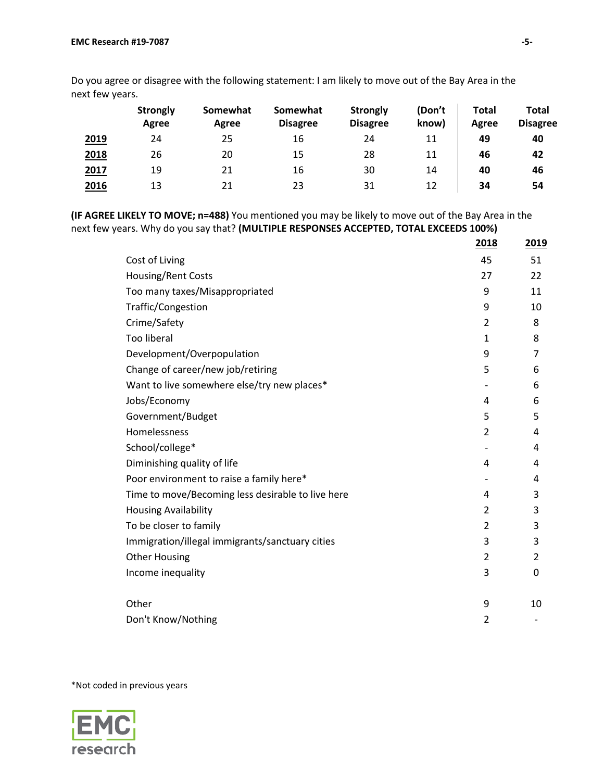|      | <b>Strongly</b><br>Agree | Somewhat<br>Agree | Somewhat<br><b>Disagree</b> | <b>Strongly</b><br><b>Disagree</b> | (Don't<br>know) | <b>Total</b><br>Agree | Total<br><b>Disagree</b> |
|------|--------------------------|-------------------|-----------------------------|------------------------------------|-----------------|-----------------------|--------------------------|
| 2019 | 24                       | 25                | 16                          | 24                                 | 11              | 49                    | 40                       |
| 2018 | 26                       | 20                | 15                          | 28                                 | 11              | 46                    | 42                       |
| 2017 | 19                       | 21                | 16                          | 30                                 | 14              | 40                    | 46                       |
| 2016 | 13                       | 21                | 23                          | 31                                 | 12              | 34                    | 54                       |

Do you agree or disagree with the following statement: I am likely to move out of the Bay Area in the next few years.

**(IF AGREE LIKELY TO MOVE; n=488)** You mentioned you may be likely to move out of the Bay Area in the next few years. Why do you say that? **(MULTIPLE RESPONSES ACCEPTED, TOTAL EXCEEDS 100%)**

|                                                   | 2018           | 2019 |
|---------------------------------------------------|----------------|------|
| Cost of Living                                    | 45             | 51   |
| Housing/Rent Costs                                | 27             | 22   |
| Too many taxes/Misappropriated                    | 9              | 11   |
| Traffic/Congestion                                | 9              | 10   |
| Crime/Safety                                      | $\overline{2}$ | 8    |
| <b>Too liberal</b>                                | 1              | 8    |
| Development/Overpopulation                        | 9              | 7    |
| Change of career/new job/retiring                 | 5              | 6    |
| Want to live somewhere else/try new places*       |                | 6    |
| Jobs/Economy                                      | 4              | 6    |
| Government/Budget                                 | 5              | 5    |
| Homelessness                                      | 2              | 4    |
| School/college*                                   |                | 4    |
| Diminishing quality of life                       | 4              | 4    |
| Poor environment to raise a family here*          |                | 4    |
| Time to move/Becoming less desirable to live here | 4              | 3    |
| <b>Housing Availability</b>                       | $\overline{2}$ | 3    |
| To be closer to family                            | 2              | 3    |
| Immigration/illegal immigrants/sanctuary cities   | 3              | 3    |
| <b>Other Housing</b>                              | $\overline{2}$ | 2    |
| Income inequality                                 | 3              | 0    |
|                                                   |                |      |
| Other                                             | 9              | 10   |
| Don't Know/Nothing                                | 2              |      |

\*Not coded in previous years

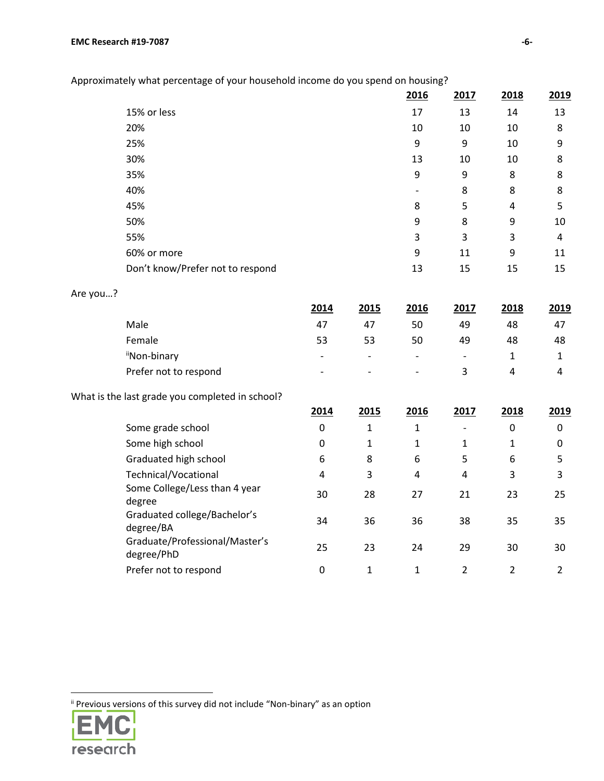| iately what percentage of your household income do you spend on housing? |      |      |      |      |
|--------------------------------------------------------------------------|------|------|------|------|
|                                                                          | 2016 | 2017 | 2018 | 2019 |
| 15% or less                                                              | 17   | 13   | 14   | 13   |
| 20%                                                                      | 10   | 10   | 10   | 8    |
| 25%                                                                      | 9    | 9    | 10   | 9    |
| 30%                                                                      | 13   | 10   | 10   | 8    |
| 35%                                                                      | 9    | 9    | 8    | 8    |
| 40%                                                                      |      | 8    | 8    | 8    |
| 45%                                                                      | 8    | 5    | 4    | 5    |
| 50%                                                                      | 9    | 8    | 9    | 10   |
| 55%                                                                      | 3    | 3    | 3    | 4    |
| 60% or more                                                              | 9    | 11   | 9    | 11   |
| Don't know/Prefer not to respond                                         | 13   | 15   | 15   | 15   |

Approximately what percentage of your household income do you spend on housing?

|  | Are you? |  |
|--|----------|--|
|--|----------|--|

|                       | 2014                     | 2015                     | 2016                         | 2017                     | 2018 | 2019 |
|-----------------------|--------------------------|--------------------------|------------------------------|--------------------------|------|------|
| Male                  | 47                       | 47                       | 50                           | 49                       | 48   | 47   |
| Female                | 53                       | 53                       | 50                           | 49                       | 48   | 48   |
| "Non-binary           | $\overline{\phantom{a}}$ | $\overline{\phantom{0}}$ | $\qquad \qquad \blacksquare$ | $\overline{\phantom{a}}$ |      |      |
| Prefer not to respond | $\overline{\phantom{a}}$ | $\overline{\phantom{0}}$ | $\overline{\phantom{a}}$     | २                        | 4    | 4    |

What is the last grade you completed in school?

|                                              | 2014 | 2015 | 2016 | 2017 | 2018 | 2019 |
|----------------------------------------------|------|------|------|------|------|------|
| Some grade school                            | 0    | 1    | 1    |      | 0    | 0    |
| Some high school                             | 0    | 1    | 1    | 1    | 1    | 0    |
| Graduated high school                        | 6    | 8    | 6    | 5    | 6    | 5    |
| Technical/Vocational                         | 4    | 3    | 4    | 4    | 3    | 3    |
| Some College/Less than 4 year<br>degree      | 30   | 28   | 27   | 21   | 23   | 25   |
| Graduated college/Bachelor's<br>degree/BA    | 34   | 36   | 36   | 38   | 35   | 35   |
| Graduate/Professional/Master's<br>degree/PhD | 25   | 23   | 24   | 29   | 30   | 30   |
| Prefer not to respond                        | 0    |      |      | ำ    | 2    |      |

ii Previous versions of this survey did not include "Non-binary" as an option



 $\overline{\phantom{a}}$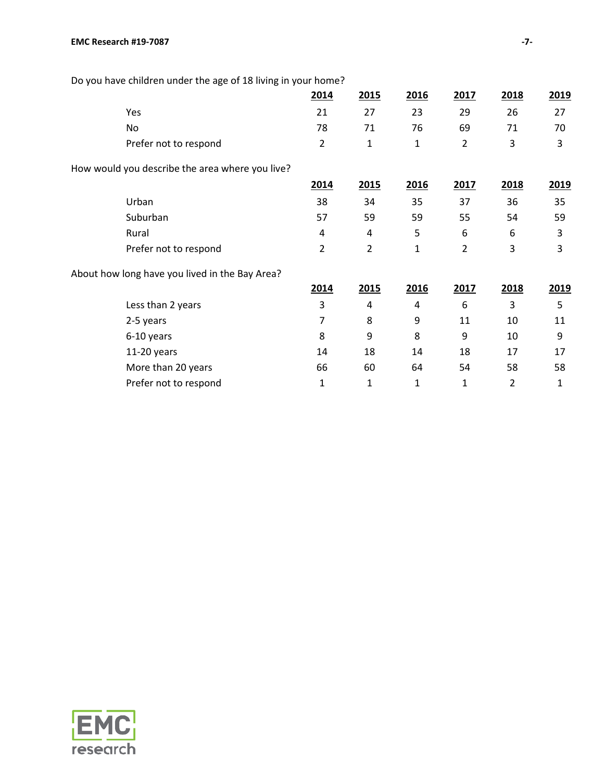|                       | 2014           | 2015                                                                                              | 2016                                                          | 2017           | 2018 | 2019 |
|-----------------------|----------------|---------------------------------------------------------------------------------------------------|---------------------------------------------------------------|----------------|------|------|
| Yes                   | 21             | 27                                                                                                | 23                                                            | 29             | 26   | 27   |
| No                    | 78             | 71                                                                                                | 76                                                            | 69             | 71   | 70   |
| Prefer not to respond | $\overline{2}$ | 1                                                                                                 | 1                                                             | $\overline{2}$ | 3    | 3    |
|                       |                |                                                                                                   |                                                               |                |      |      |
|                       | 2014           | 2015                                                                                              | 2016                                                          | 2017           | 2018 | 2019 |
| Urban                 | 38             | 34                                                                                                | 35                                                            | 37             | 36   | 35   |
| Suburban              | 57             | 59                                                                                                | 59                                                            | 55             | 54   | 59   |
| Rural                 | 4              | 4                                                                                                 | 5                                                             | 6              | 6    | 3    |
| Prefer not to respond | $\overline{2}$ | $\overline{2}$                                                                                    | 1                                                             | $\overline{2}$ | 3    | 3    |
|                       |                |                                                                                                   |                                                               |                |      |      |
|                       | 2014           | 2015                                                                                              | 2016                                                          | 2017           | 2018 | 2019 |
| Less than 2 years     | 3              | 4                                                                                                 | 4                                                             | 6              | 3    | 5    |
| 2-5 years             | 7              | 8                                                                                                 | 9                                                             | 11             | 10   | 11   |
| 6-10 years            | 8              | 9                                                                                                 | 8                                                             | 9              | 10   | 9    |
| 11-20 years           | 14             | 18                                                                                                | 14                                                            | 18             | 17   | 17   |
| More than 20 years    | 66             | 60                                                                                                | 64                                                            | 54             | 58   | 58   |
| Prefer not to respond | 1              | 1                                                                                                 | 1                                                             | 1              | 2    | 1    |
|                       |                | How would you describe the area where you live?<br>About how long have you lived in the Bay Area? | Do you have children under the age of 18 living in your nome? |                |      |      |

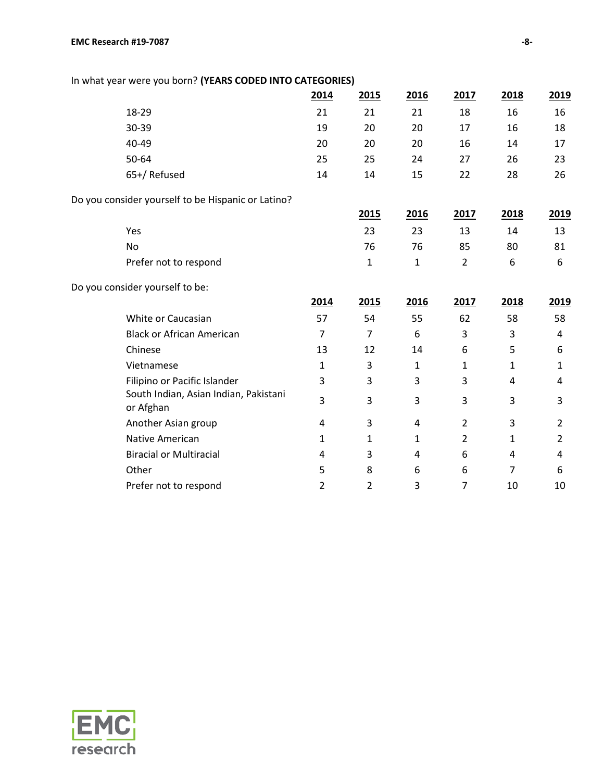| In what year were you born? (YEARS CODED INTO CATEGORIES) |                |                |                |                |              |                |
|-----------------------------------------------------------|----------------|----------------|----------------|----------------|--------------|----------------|
|                                                           | 2014           | 2015           | 2016           | 2017           | 2018         | 2019           |
| 18-29                                                     | 21             | 21             | 21             | 18             | 16           | 16             |
| 30-39                                                     | 19             | 20             | 20             | 17             | 16           | 18             |
| 40-49                                                     | 20             | 20             | 20             | 16             | 14           | 17             |
| 50-64                                                     | 25             | 25             | 24             | 27             | 26           | 23             |
| 65+/ Refused                                              | 14             | 14             | 15             | 22             | 28           | 26             |
| Do you consider yourself to be Hispanic or Latino?        |                |                |                |                |              |                |
|                                                           |                | 2015           | 2016           | 2017           | 2018         | 2019           |
| Yes                                                       |                | 23             | 23             | 13             | 14           | 13             |
| <b>No</b>                                                 |                | 76             | 76             | 85             | 80           | 81             |
| Prefer not to respond                                     |                | 1              | $\mathbf{1}$   | $\overline{2}$ | 6            | 6              |
| Do you consider yourself to be:                           |                |                |                |                |              |                |
|                                                           | 2014           | 2015           | 2016           | 2017           | 2018         | 2019           |
| White or Caucasian                                        | 57             | 54             | 55             | 62             | 58           | 58             |
| <b>Black or African American</b>                          | $\overline{7}$ | $\overline{7}$ | 6              | 3              | 3            | 4              |
| Chinese                                                   | 13             | 12             | 14             | 6              | 5            | 6              |
| Vietnamese                                                | $\mathbf{1}$   | 3              | $\mathbf{1}$   | 1              | 1            | 1              |
| Filipino or Pacific Islander                              | 3              | 3              | 3              | 3              | 4            | 4              |
| South Indian, Asian Indian, Pakistani<br>or Afghan        | 3              | 3              | 3              | 3              | 3            | 3              |
| Another Asian group                                       | 4              | 3              | 4              | $\overline{2}$ | 3            | $\overline{2}$ |
| <b>Native American</b>                                    | 1              | $\mathbf{1}$   | 1              | $\overline{2}$ | $\mathbf{1}$ | $\overline{2}$ |
| <b>Biracial or Multiracial</b>                            | 4              | 3              | $\overline{4}$ | 6              | 4            | 4              |
| Other                                                     | 5              | 8              | 6              | 6              | 7            | 6              |

Prefer not to respond 2 2 2 3 7 10 10

# In what year were you born? **(YEARS CODED INTO CATEGORIES)**